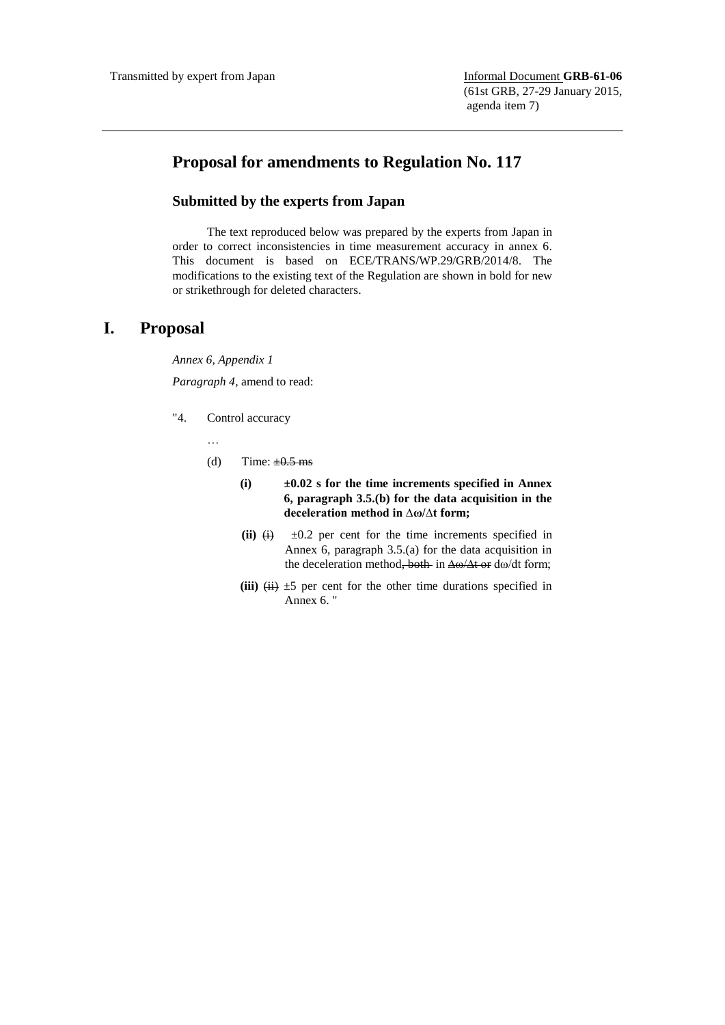## **Proposal for amendments to Regulation No. 117**

## **Submitted by the experts from Japan**

The text reproduced below was prepared by the experts from Japan in order to correct inconsistencies in time measurement accuracy in annex 6. This document is based on ECE/TRANS/WP.29/GRB/2014/8. The modifications to the existing text of the Regulation are shown in bold for new or strikethrough for deleted characters.

## **I. Proposal**

*Annex 6, Appendix 1*

*Paragraph 4*, amend to read:

- "4. Control accuracy
	- …
	- (d) Time:  $\pm 0.5$  ms
		- **(i) ±0.02 s for the time increments specified in Annex 6, paragraph 3.5.(b) for the data acquisition in the deceleration method in ∆ω/∆t form;**
		- (ii)  $\leftrightarrow$   $\pm 0.2$  per cent for the time increments specified in Annex 6, paragraph 3.5.(a) for the data acquisition in the deceleration method<del>, both</del> in <del>Δω/Δt or</del> dω/dt form;
		- (iii)  $\overleftrightarrow{(ii)}$   $\pm 5$  per cent for the other time durations specified in Annex 6. "